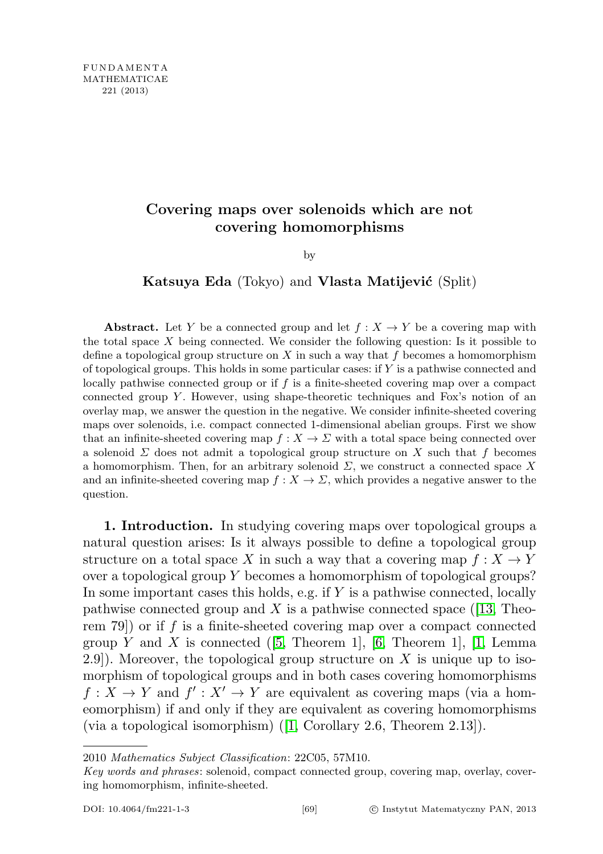## Covering maps over solenoids which are not covering homomorphisms

by

Katsuya Eda (Tokyo) and Vlasta Matijević (Split)

**Abstract.** Let Y be a connected group and let  $f : X \to Y$  be a covering map with the total space  $X$  being connected. We consider the following question: Is it possible to define a topological group structure on  $X$  in such a way that f becomes a homomorphism of topological groups. This holds in some particular cases: if Y is a pathwise connected and locally pathwise connected group or if f is a finite-sheeted covering map over a compact connected group  $Y$ . However, using shape-theoretic techniques and Fox's notion of an overlay map, we answer the question in the negative. We consider infinite-sheeted covering maps over solenoids, i.e. compact connected 1-dimensional abelian groups. First we show that an infinite-sheeted covering map  $f : X \to \Sigma$  with a total space being connected over a solenoid  $\Sigma$  does not admit a topological group structure on X such that f becomes a homomorphism. Then, for an arbitrary solenoid  $\Sigma$ , we construct a connected space X and an infinite-sheeted covering map  $f: X \to \Sigma$ , which provides a negative answer to the question.

1. Introduction. In studying covering maps over topological groups a natural question arises: Is it always possible to define a topological group structure on a total space X in such a way that a covering map  $f: X \to Y$ over a topological group  $Y$  becomes a homomorphism of topological groups? In some important cases this holds, e.g. if  $Y$  is a pathwise connected, locally pathwise connected group and X is a pathwise connected space  $(13,$  Theorem 79) or if f is a finite-sheeted covering map over a compact connected group Y and X is connected  $(5,$  Theorem 1, [\[6,](#page-13-2) Theorem 1], [\[1,](#page-13-3) Lemma 2.9]). Moreover, the topological group structure on  $X$  is unique up to isomorphism of topological groups and in both cases covering homomorphisms  $f: X \to Y$  and  $f': X' \to Y$  are equivalent as covering maps (via a homeomorphism) if and only if they are equivalent as covering homomorphisms (via a topological isomorphism) ([\[1,](#page-13-3) Corollary 2.6, Theorem 2.13]).

<sup>2010</sup> Mathematics Subject Classification: 22C05, 57M10.

Key words and phrases: solenoid, compact connected group, covering map, overlay, covering homomorphism, infinite-sheeted.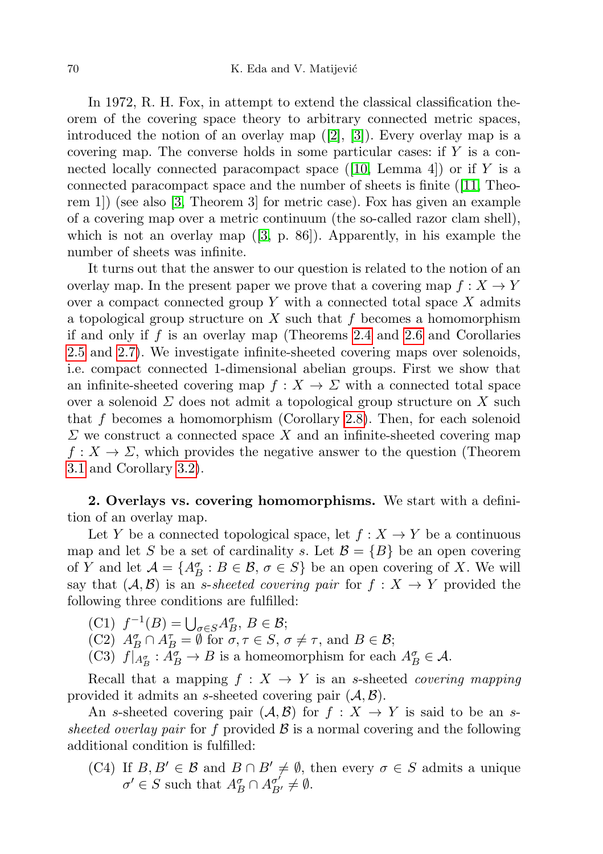In 1972, R. H. Fox, in attempt to extend the classical classification theorem of the covering space theory to arbitrary connected metric spaces, introduced the notion of an overlay map ([\[2\]](#page-13-4), [\[3\]](#page-13-5)). Every overlay map is a covering map. The converse holds in some particular cases: if Y is a connected locally connected paracompact space  $([10, \text{ Lemma } 4])$  $([10, \text{ Lemma } 4])$  $([10, \text{ Lemma } 4])$  or if Y is a connected paracompact space and the number of sheets is finite ([\[11,](#page-13-7) Theorem 1]) (see also [\[3,](#page-13-5) Theorem 3] for metric case). Fox has given an example of a covering map over a metric continuum (the so-called razor clam shell), which is not an overlay map  $([3, p. 86])$  $([3, p. 86])$  $([3, p. 86])$ . Apparently, in his example the number of sheets was infinite.

It turns out that the answer to our question is related to the notion of an overlay map. In the present paper we prove that a covering map  $f: X \to Y$ over a compact connected group  $Y$  with a connected total space  $X$  admits a topological group structure on  $X$  such that  $f$  becomes a homomorphism if and only if  $f$  is an overlay map (Theorems [2.4](#page-4-0) and [2.6](#page-5-0) and Corollaries [2.5](#page-5-1) and [2.7\)](#page-6-0). We investigate infinite-sheeted covering maps over solenoids, i.e. compact connected 1-dimensional abelian groups. First we show that an infinite-sheeted covering map  $f: X \to \Sigma$  with a connected total space over a solenoid  $\Sigma$  does not admit a topological group structure on X such that f becomes a homomorphism (Corollary [2.8\)](#page-6-1). Then, for each solenoid  $\Sigma$  we construct a connected space X and an infinite-sheeted covering map  $f: X \to \Sigma$ , which provides the negative answer to the question (Theorem [3.1](#page-8-0) and Corollary [3.2\)](#page-8-1).

2. Overlays vs. covering homomorphisms. We start with a definition of an overlay map.

Let Y be a connected topological space, let  $f: X \to Y$  be a continuous map and let S be a set of cardinality s. Let  $\mathcal{B} = \{B\}$  be an open covering of Y and let  $\mathcal{A} = \{A_B^{\sigma} : B \in \mathcal{B}, \sigma \in S\}$  be an open covering of X. We will say that  $(\mathcal{A}, \mathcal{B})$  is an *s-sheeted covering pair* for  $f : X \to Y$  provided the following three conditions are fulfilled:

- (C1)  $f^{-1}(B) = \bigcup_{\sigma \in S} A_B^{\sigma}, B \in \mathcal{B};$
- (C2)  $A_B^{\sigma} \cap A_B^{\tau} = \emptyset$  for  $\sigma, \tau \in S, \sigma \neq \tau$ , and  $B \in \mathcal{B}$ ;
- (C3)  $f|_{A_B^{\sigma}} : \overline{A_B^{\sigma}} \to B$  is a homeomorphism for each  $A_B^{\sigma} \in \mathcal{A}$ .

Recall that a mapping  $f : X \to Y$  is an s-sheeted *covering mapping* provided it admits an s-sheeted covering pair  $(A, \mathcal{B})$ .

An s-sheeted covering pair  $(A, \mathcal{B})$  for  $f : X \to Y$  is said to be an ssheeted overlay pair for f provided  $\beta$  is a normal covering and the following additional condition is fulfilled:

(C4) If  $B, B' \in \mathcal{B}$  and  $B \cap B' \neq \emptyset$ , then every  $\sigma \in S$  admits a unique  $\sigma' \in S$  such that  $A_B^{\sigma} \cap A_{B'}^{\sigma'} \neq \emptyset$ .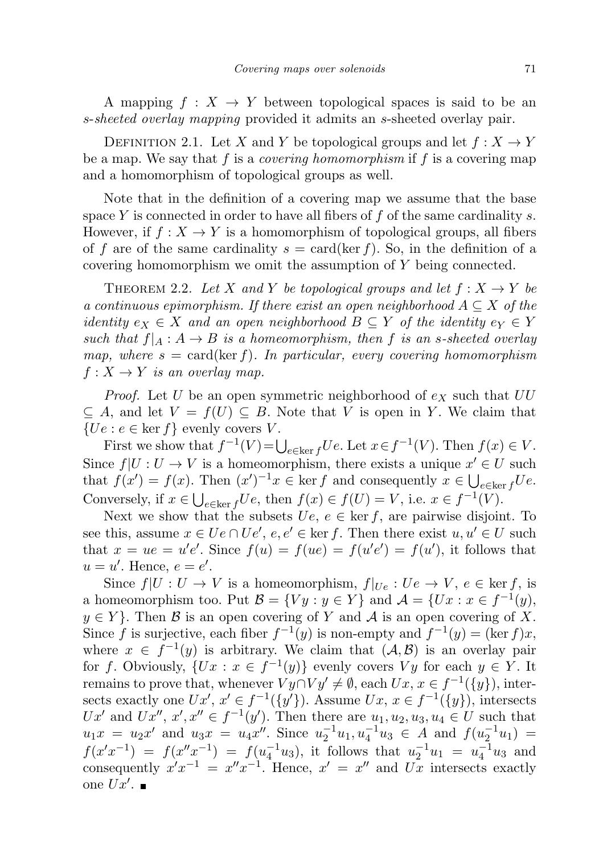A mapping  $f: X \to Y$  between topological spaces is said to be an s-sheeted overlay mapping provided it admits an s-sheeted overlay pair.

DEFINITION 2.1. Let X and Y be topological groups and let  $f: X \to Y$ be a map. We say that f is a *covering homomorphism* if f is a covering map and a homomorphism of topological groups as well.

Note that in the definition of a covering map we assume that the base space Y is connected in order to have all fibers of  $f$  of the same cardinality  $s$ . However, if  $f: X \to Y$  is a homomorphism of topological groups, all fibers of f are of the same cardinality  $s = \text{card}(\ker f)$ . So, in the definition of a covering homomorphism we omit the assumption of Y being connected.

<span id="page-2-0"></span>THEOREM 2.2. Let X and Y be topological groups and let  $f: X \to Y$  be a continuous epimorphism. If there exist an open neighborhood  $A \subseteq X$  of the *identity*  $e_X \in X$  and an open neighborhood  $B \subseteq Y$  of the identity  $e_Y \in Y$ such that  $f|_A : A \to B$  is a homeomorphism, then f is an s-sheeted overlay map, where  $s = \text{card}(\ker f)$ . In particular, every covering homomorphism  $f: X \to Y$  is an overlay map.

*Proof.* Let U be an open symmetric neighborhood of  $e<sub>X</sub>$  such that  $UU$  $\subseteq A$ , and let  $V = f(U) \subseteq B$ . Note that V is open in Y. We claim that  ${Ue : e \in \text{ker } f}$  evenly covers V.

First we show that  $f^{-1}(V) = \bigcup_{e \in \ker f} U e$ . Let  $x \in f^{-1}(V)$ . Then  $f(x) \in V$ . Since  $f|U:U\to V$  is a homeomorphism, there exists a unique  $x'\in U$  such that  $f(x') = f(x)$ . Then  $(x')^{-1}x \in \text{ker } f$  and consequently  $x \in \bigcup_{e \in \text{ker } f} Ue$ . Conversely, if  $x \in \bigcup_{e \in \ker f} Ue$ , then  $f(x) \in f(U) = V$ , i.e.  $x \in f^{-1}(V)$ .

Next we show that the subsets  $Ue, e \in \text{ker } f$ , are pairwise disjoint. To see this, assume  $x \in Ue \cap Ue'$ ,  $e, e' \in \text{ker } f$ . Then there exist  $u, u' \in U$  such that  $x = ue = u'e'.$  Since  $f(u) = f(ue) = f(u'e') = f(u'),$  it follows that  $u = u'$ . Hence,  $e = e'$ .

Since  $f|U: U \to V$  is a homeomorphism,  $f|_{U_e}: U_e \to V$ ,  $e \in \text{ker } f$ , is a homeomorphism too. Put  $\mathcal{B} = \{ Vy : y \in Y \}$  and  $\mathcal{A} = \{ Ux : x \in f^{-1}(y),\}$  $y \in Y$ . Then B is an open covering of Y and A is an open covering of X. Since f is surjective, each fiber  $f^{-1}(y)$  is non-empty and  $f^{-1}(y) = (\ker f)x$ , where  $x \in f^{-1}(y)$  is arbitrary. We claim that  $(\mathcal{A}, \mathcal{B})$  is an overlay pair for f. Obviously,  $\{Ux : x \in f^{-1}(y)\}$  evenly covers  $Vy$  for each  $y \in Y$ . It remains to prove that, whenever  $Vy \cap Vy' \neq \emptyset$ , each  $Ux, x \in f^{-1}(\{y\})$ , intersects exactly one  $Ux'$ ,  $x' \in f^{-1}(\{y'\})$ . Assume  $Ux$ ,  $x \in f^{-1}(\{y\})$ , intersects Ux' and Ux'',  $x', x'' \in f^{-1}(y')$ . Then there are  $u_1, u_2, u_3, u_4 \in U$  such that  $u_1x = u_2x'$  and  $u_3x = u_4x''$ . Since  $u_2^{-1}u_1, u_4^{-1}u_3 \in A$  and  $f(u_2^{-1}u_1) =$  $f(x'x^{-1}) = f(x''x^{-1}) = f(u_4^{-1}u_3)$ , it follows that  $u_2^{-1}u_1 = u_4^{-1}u_3$  and consequently  $x'x^{-1} = x''x^{-1}$ . Hence,  $x' = x''$  and  $Ux$  intersects exactly one  $Ux'$ .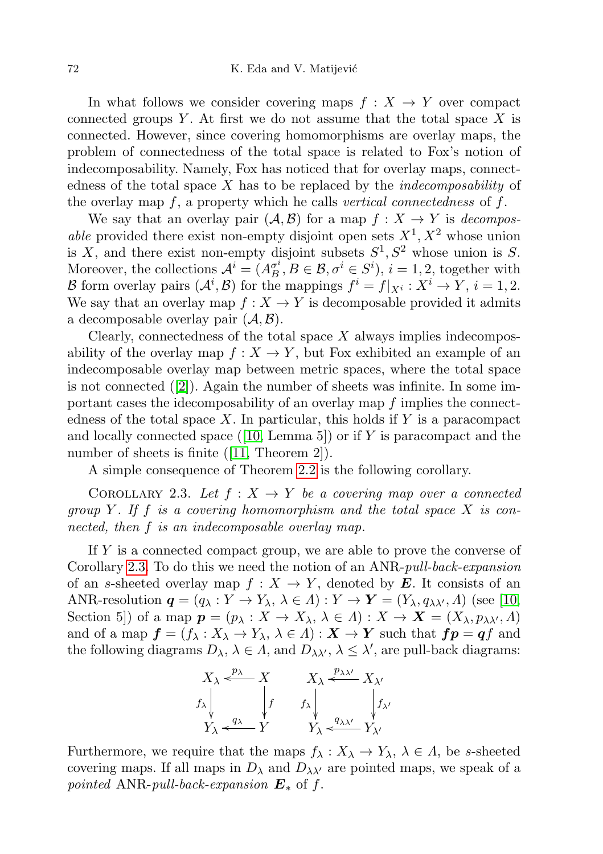In what follows we consider covering maps  $f: X \to Y$  over compact connected groups Y. At first we do not assume that the total space  $X$  is connected. However, since covering homomorphisms are overlay maps, the problem of connectedness of the total space is related to Fox's notion of indecomposability. Namely, Fox has noticed that for overlay maps, connectedness of the total space  $X$  has to be replaced by the *indecomposability* of the overlay map  $f$ , a property which he calls vertical connectedness of  $f$ .

We say that an overlay pair  $(\mathcal{A}, \mathcal{B})$  for a map  $f : X \to Y$  is *decompos*able provided there exist non-empty disjoint open sets  $X^1, X^2$  whose union is X, and there exist non-empty disjoint subsets  $S^1, S^2$  whose union is S. Moreover, the collections  $\mathcal{A}^i = (A_B^{\sigma i})$  $g_B^i, B \in \mathcal{B}, \sigma^i \in S^i$ ,  $i = 1, 2$ , together with B form overlay pairs  $(\mathcal{A}^i, \mathcal{B})$  for the mappings  $f^i = f|_{X^i} : X^i \to Y$ ,  $i = 1, 2$ . We say that an overlay map  $f: X \to Y$  is decomposable provided it admits a decomposable overlay pair  $(\mathcal{A}, \mathcal{B})$ .

Clearly, connectedness of the total space  $X$  always implies indecomposability of the overlay map  $f: X \to Y$ , but Fox exhibited an example of an indecomposable overlay map between metric spaces, where the total space is not connected  $(2)$ . Again the number of sheets was infinite. In some important cases the idecomposability of an overlay map f implies the connectedness of the total space  $X$ . In particular, this holds if  $Y$  is a paracompact and locally connected space ([\[10,](#page-13-6) Lemma 5]) or if Y is paracompact and the number of sheets is finite ([\[11,](#page-13-7) Theorem 2]).

A simple consequence of Theorem [2.2](#page-2-0) is the following corollary.

<span id="page-3-0"></span>COROLLARY 2.3. Let  $f: X \to Y$  be a covering map over a connected group Y. If f is a covering homomorphism and the total space  $X$  is connected, then f is an indecomposable overlay map.

If Y is a connected compact group, we are able to prove the converse of Corollary [2.3.](#page-3-0) To do this we need the notion of an ANR-pull-back-expansion of an s-sheeted overlay map  $f: X \to Y$ , denoted by E. It consists of an ANR-resolution  $q = (q_{\lambda} : Y \to Y_{\lambda}, \lambda \in \Lambda) : Y \to Y = (Y_{\lambda}, q_{\lambda\lambda'}, \Lambda)$  (see [\[10,](#page-13-6) Section 5]) of a map  $p = (p_{\lambda} : X \to X_{\lambda}, \lambda \in \Lambda) : X \to X = (X_{\lambda}, p_{\lambda\lambda'}, \Lambda)$ and of a map  $f = (f_{\lambda} : X_{\lambda} \to Y_{\lambda}, \lambda \in \Lambda) : X \to Y$  such that  $fp = qf$  and the following diagrams  $D_{\lambda}, \lambda \in \Lambda$ , and  $D_{\lambda\lambda'}, \lambda \leq \lambda'$ , are pull-back diagrams:

$$
\begin{array}{ccc}\nX_{\lambda} \xleftarrow{p_{\lambda}} & X & X_{\lambda} \xleftarrow{p_{\lambda \lambda'}} & X_{\lambda'} \\
f_{\lambda} & f_{\lambda} & f_{\lambda} & f_{\lambda'} \\
Y_{\lambda} \xleftarrow{q_{\lambda}} & Y & Y_{\lambda} \xleftarrow{q_{\lambda \lambda'}} & Y_{\lambda'}\n\end{array}
$$

Furthermore, we require that the maps  $f_{\lambda}: X_{\lambda} \to Y_{\lambda}, \lambda \in \Lambda$ , be s-sheeted covering maps. If all maps in  $D_{\lambda}$  and  $D_{\lambda\lambda'}$  are pointed maps, we speak of a pointed ANR-pull-back-expansion  $E_*$  of f.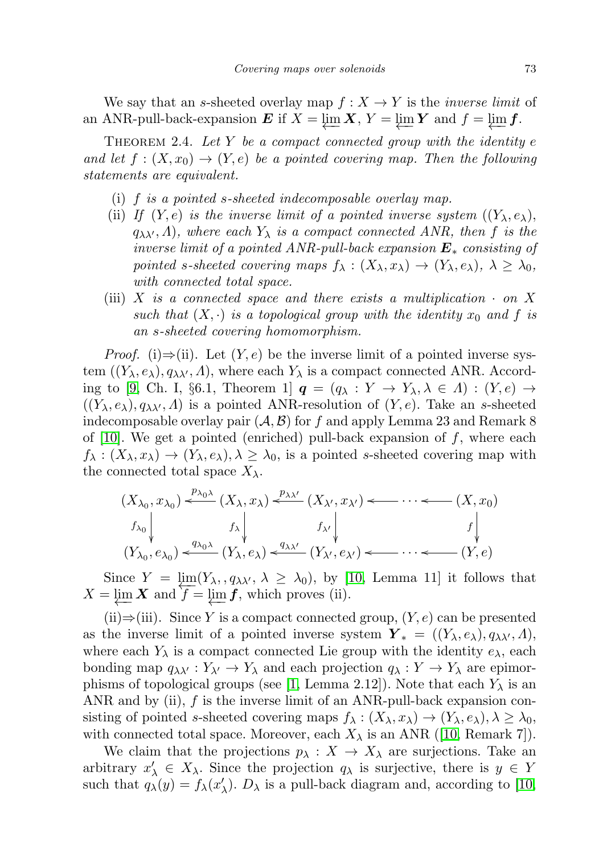We say that an s-sheeted overlay map  $f : X \to Y$  is the *inverse limit* of an ANR-pull-back-expansion  $\boldsymbol{E}$  if  $X = \varprojlim_{\boldsymbol{X}} \boldsymbol{X}, Y = \varprojlim_{\boldsymbol{Y}} \boldsymbol{Y}$  and  $f = \varprojlim_{\boldsymbol{Y}} f$ .

<span id="page-4-0"></span>THEOREM 2.4. Let Y be a compact connected group with the identity  $e$ and let  $f : (X, x_0) \to (Y, e)$  be a pointed covering map. Then the following statements are equivalent.

- (i) f is a pointed s-sheeted indecomposable overlay map.
- (ii) If  $(Y, e)$  is the inverse limit of a pointed inverse system  $((Y_{\lambda}, e_{\lambda}),$  $q_{\lambda\lambda}$ ,  $\Lambda$ ), where each  $Y_{\lambda}$  is a compact connected ANR, then f is the inverse limit of a pointed ANR-pull-back expansion  $E_*$  consisting of pointed s-sheeted covering maps  $f_{\lambda}: (X_{\lambda}, x_{\lambda}) \to (Y_{\lambda}, e_{\lambda}), \lambda \geq \lambda_0$ , with connected total space.
- (iii) X is a connected space and there exists a multiplication  $\cdot$  on X such that  $(X, \cdot)$  is a topological group with the identity  $x_0$  and f is an s-sheeted covering homomorphism.

*Proof.* (i)⇒(ii). Let  $(Y, e)$  be the inverse limit of a pointed inverse system  $((Y_{\lambda}, e_{\lambda}), q_{\lambda\lambda'}, A)$ , where each  $Y_{\lambda}$  is a compact connected ANR. Accord-ing to [\[9,](#page-13-8) Ch. I, §6.1, Theorem 1]  $q = (q_{\lambda} : Y \to Y_{\lambda}, \lambda \in \Lambda) : (Y, e) \to$  $((Y_{\lambda}, e_{\lambda}), q_{\lambda\lambda'}, \Lambda)$  is a pointed ANR-resolution of  $(Y, e)$ . Take an s-sheeted indecomposable overlay pair  $(\mathcal{A}, \mathcal{B})$  for f and apply Lemma 23 and Remark 8 of [\[10\]](#page-13-6). We get a pointed (enriched) pull-back expansion of  $f$ , where each  $f_{\lambda}: (X_{\lambda}, x_{\lambda}) \to (Y_{\lambda}, e_{\lambda}), \lambda \geq \lambda_0$ , is a pointed s-sheeted covering map with the connected total space  $X_{\lambda}$ .

$$
(X_{\lambda_0}, x_{\lambda_0}) \xleftarrow{p_{\lambda_0 \lambda}} (X_{\lambda}, x_{\lambda}) \xleftarrow{p_{\lambda \lambda'}} (X_{\lambda'}, x_{\lambda'}) \xleftarrow{-(X, x_0)}
$$
  
\n
$$
f_{\lambda_0} \downarrow f_{\lambda} \downarrow f_{\lambda'} \downarrow f_{\lambda'} \downarrow f_{\lambda'} \downarrow f_{\lambda'} \downarrow f_{\lambda'} \downarrow f_{\lambda'} \downarrow f_{\lambda'} \downarrow f_{\lambda'} \downarrow f_{\lambda'} \downarrow f_{\lambda'} \downarrow f_{\lambda'} \downarrow f_{\lambda'} \downarrow f_{\lambda'} \downarrow f_{\lambda'} \downarrow f_{\lambda'} \downarrow f_{\lambda'} \downarrow f_{\lambda'} \downarrow f_{\lambda'} \downarrow f_{\lambda'} \downarrow f_{\lambda'} \downarrow f_{\lambda'} \downarrow f_{\lambda'} \downarrow f_{\lambda'} \downarrow f_{\lambda'} \downarrow f_{\lambda'} \downarrow f_{\lambda'} \downarrow f_{\lambda'} \downarrow f_{\lambda'} \downarrow f_{\lambda'} \downarrow f_{\lambda'} \downarrow f_{\lambda'} \downarrow f_{\lambda'} \downarrow f_{\lambda'} \downarrow f_{\lambda'} \downarrow f_{\lambda'} \downarrow f_{\lambda'} \downarrow f_{\lambda'} \downarrow f_{\lambda'} \downarrow f_{\lambda'} \downarrow f_{\lambda'} \downarrow f_{\lambda'} \downarrow f_{\lambda'} \downarrow f_{\lambda'} \downarrow f_{\lambda'} \downarrow f_{\lambda'} \downarrow f_{\lambda'} \downarrow f_{\lambda'} \downarrow f_{\lambda'} \downarrow f_{\lambda'} \downarrow f_{\lambda'} \downarrow f_{\lambda'} \downarrow f_{\lambda'} \downarrow f_{\lambda'} \downarrow f_{\lambda'} \downarrow f_{\lambda'} \downarrow f_{\lambda'} \downarrow f_{\lambda'} \downarrow f_{\lambda'} \downarrow f_{\lambda'} \downarrow f_{\lambda'} \downarrow f_{\lambda'} \downarrow f_{\lambda'} \downarrow f_{\lambda'} \downarrow f_{\lambda'} \downarrow f_{\lambda'} \downarrow f_{\lambda'} \downarrow f_{\lambda'} \downarrow f_{\lambda'} \downarrow f_{\lambda'} \downarrow f_{\lambda'} \downarrow f_{\lambda'} \downarrow f_{\lambda'} \downarrow f_{\lambda'} \downarrow f_{\lambda'} \downarrow f_{\lambda'} \downarrow f_{\lambda'} \downarrow f_{\lambda'} \downarrow f_{\lambda'} \downarrow f_{\lambda'} \downarrow f_{\lambda'} \downarrow f_{\lambda'} \downarrow f_{\lambda'} \downarrow
$$

Since  $Y = \lim_{\lambda \to 0} (Y_{\lambda}, q_{\lambda\lambda}, \lambda \ge \lambda_0)$ , by [\[10,](#page-13-6) Lemma 11] it follows that  $X = \varprojlim X$  and  $f = \varprojlim f$ , which proves (ii).

(ii)⇒(iii). Since Y is a compact connected group,  $(Y, e)$  can be presented as the inverse limit of a pointed inverse system  $\boldsymbol{Y}_{*} = ((Y_{\lambda}, e_{\lambda}), q_{\lambda\lambda'}, \Lambda),$ where each  $Y_{\lambda}$  is a compact connected Lie group with the identity  $e_{\lambda}$ , each bonding map  $q_{\lambda\lambda'} : Y_{\lambda'} \to Y_{\lambda}$  and each projection  $q_{\lambda} : Y \to Y_{\lambda}$  are epimor-phisms of topological groups (see [\[1,](#page-13-3) Lemma 2.12]). Note that each  $Y_{\lambda}$  is an ANR and by (ii),  $f$  is the inverse limit of an ANR-pull-back expansion consisting of pointed s-sheeted covering maps  $f_{\lambda}: (X_{\lambda}, x_{\lambda}) \to (Y_{\lambda}, e_{\lambda}), \lambda \geq \lambda_0$ , with connected total space. Moreover, each  $X_{\lambda}$  is an ANR ([\[10,](#page-13-6) Remark 7]).

We claim that the projections  $p_{\lambda}: X \to X_{\lambda}$  are surjections. Take an arbitrary  $x'_{\lambda} \in X_{\lambda}$ . Since the projection  $q_{\lambda}$  is surjective, there is  $y \in Y$ such that  $q_{\lambda}(y) = f_{\lambda}(x'_{\lambda})$ .  $D_{\lambda}$  is a pull-back diagram and, according to [\[10,](#page-13-6)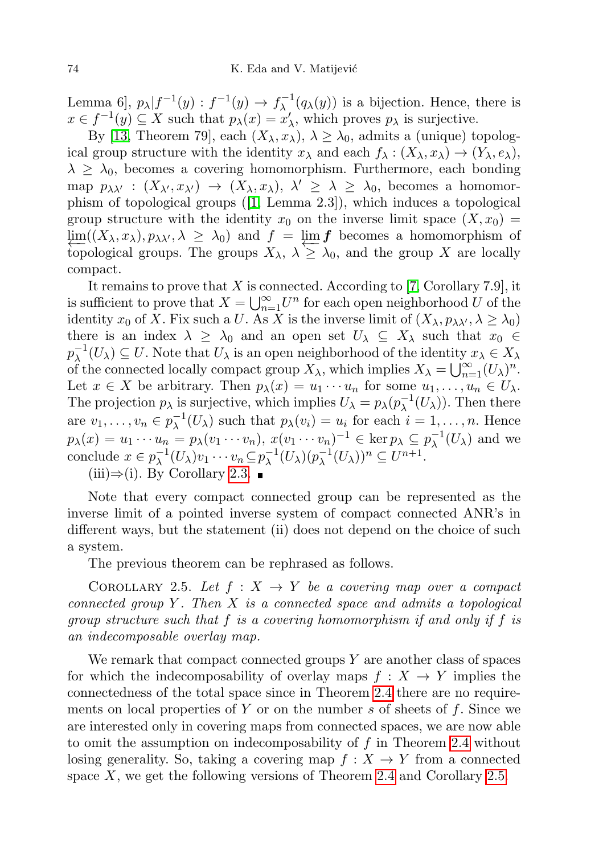Lemma 6],  $p_{\lambda}|f^{-1}(y): f^{-1}(y) \to f_{\lambda}^{-1}$  $\lambda^{-1}(q_{\lambda}(y))$  is a bijection. Hence, there is  $x \in f^{-1}(y) \subseteq X$  such that  $p_{\lambda}(x) = x'_{\lambda}$ , which proves  $p_{\lambda}$  is surjective.

By [\[13,](#page-13-0) Theorem 79], each  $(X_{\lambda}, x_{\lambda}), \lambda \geq \lambda_0$ , admits a (unique) topological group structure with the identity  $x_{\lambda}$  and each  $f_{\lambda} : (X_{\lambda}, x_{\lambda}) \to (Y_{\lambda}, e_{\lambda}),$  $\lambda \geq \lambda_0$ , becomes a covering homomorphism. Furthermore, each bonding map  $p_{\lambda\lambda'}$  :  $(X_{\lambda'}, x_{\lambda'}) \rightarrow (X_{\lambda}, x_{\lambda}), \lambda' \geq \lambda \geq \lambda_0$ , becomes a homomorphism of topological groups ([\[1,](#page-13-3) Lemma 2.3]), which induces a topological group structure with the identity  $x_0$  on the inverse limit space  $(X, x_0) =$  $\lim_{\Delta \to 0} ((X_{\lambda}, x_{\lambda}), p_{\lambda \lambda}, \lambda \geq \lambda_0)$  and  $f = \lim_{\Delta \to 0} f$  becomes a homomorphism of topological groups. The groups  $X_{\lambda}$ ,  $\lambda \geq \lambda_0$ , and the group X are locally compact.

It remains to prove that X is connected. According to [\[7,](#page-13-9) Corollary 7.9], it is sufficient to prove that  $X = \bigcup_{n=1}^{\infty} U^n$  for each open neighborhood U of the identity  $x_0$  of X. Fix such a U. As X is the inverse limit of  $(X_\lambda, p_{\lambda\lambda'}, \lambda \ge \lambda_0)$ there is an index  $\lambda \geq \lambda_0$  and an open set  $U_\lambda \subseteq X_\lambda$  such that  $x_0 \in$  $p_{\lambda}^{-1}$  $\overline{\lambda}^{-1}(U_{\lambda}) \subseteq U$ . Note that  $U_{\lambda}$  is an open neighborhood of the identity  $x_{\lambda} \in X_{\lambda}$ of the connected locally compact group  $X_{\lambda}$ , which implies  $X_{\lambda} = \bigcup_{n=1}^{\infty} (U_{\lambda})^n$ . Let  $x \in X$  be arbitrary. Then  $p_{\lambda}(x) = u_1 \cdots u_n$  for some  $u_1, \ldots, u_n \in U_{\lambda}$ . The projection  $p_{\lambda}$  is surjective, which implies  $U_{\lambda} = p_{\lambda}(p_{\lambda}^{-1})$  $\overline{\lambda}^{-1}(U_{\lambda})$ . Then there are  $v_1, \ldots, v_n \in p_{\lambda}^{-1}$  $\lambda^{-1}(U_\lambda)$  such that  $p_\lambda(v_i) = u_i$  for each  $i = 1, \ldots, n$ . Hence  $p_{\lambda}(x) = u_1 \cdots u_n = p_{\lambda}(v_1 \cdots v_n), x(v_1 \cdots v_n)^{-1} \in \ker p_{\lambda} \subseteq p_{\lambda}^{-1}$  $\overline{\lambda}^{-1}(U_{\lambda})$  and we conclude  $x \in p_{\lambda}^{-1}$  $\overline{\lambda}^{-1}(U_{\lambda})v_1\cdots v_n\,\subseteq p_{\lambda}^{-1}$  $\overline{\lambda}^{-1}(U_{\lambda})(p_{\lambda}^{-1})$  $\overline{\lambda}^{-1}(U_{\lambda}))^n \subseteq U^{n+1}.$ 

 $(iii) \Rightarrow (i)$ . By Corollary [2.3.](#page-3-0) ■

Note that every compact connected group can be represented as the inverse limit of a pointed inverse system of compact connected ANR's in different ways, but the statement (ii) does not depend on the choice of such a system.

The previous theorem can be rephrased as follows.

<span id="page-5-1"></span>COROLLARY 2.5. Let  $f: X \to Y$  be a covering map over a compact connected group Y. Then  $X$  is a connected space and admits a topological group structure such that f is a covering homomorphism if and only if f is an indecomposable overlay map.

<span id="page-5-0"></span>We remark that compact connected groups  $Y$  are another class of spaces for which the indecomposability of overlay maps  $f : X \to Y$  implies the connectedness of the total space since in Theorem [2.4](#page-4-0) there are no requirements on local properties of Y or on the number s of sheets of  $f$ . Since we are interested only in covering maps from connected spaces, we are now able to omit the assumption on indecomposability of  $f$  in Theorem [2.4](#page-4-0) without losing generality. So, taking a covering map  $f : X \to Y$  from a connected space  $X$ , we get the following versions of Theorem [2.4](#page-4-0) and Corollary [2.5.](#page-5-1)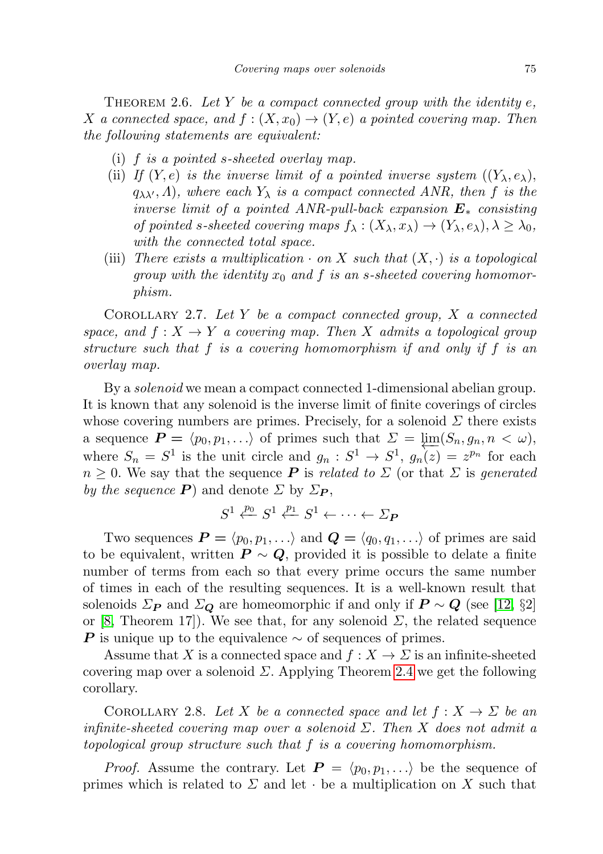THEOREM 2.6. Let Y be a compact connected group with the identity  $e$ , X a connected space, and  $f : (X, x_0) \to (Y, e)$  a pointed covering map. Then the following statements are equivalent:

- (i) f is a pointed s-sheeted overlay map.
- (ii) If  $(Y, e)$  is the inverse limit of a pointed inverse system  $((Y_{\lambda}, e_{\lambda}),$  $q_{\lambda\lambda}$ , A), where each  $Y_{\lambda}$  is a compact connected ANR, then f is the inverse limit of a pointed ANR-pull-back expansion  $E_*$  consisting of pointed s-sheeted covering maps  $f_{\lambda}: (X_{\lambda}, x_{\lambda}) \to (Y_{\lambda}, e_{\lambda}), \lambda \geq \lambda_0$ , with the connected total space.
- (iii) There exists a multiplication  $\cdot$  on X such that  $(X, \cdot)$  is a topological group with the identity  $x_0$  and f is an s-sheeted covering homomorphism.

<span id="page-6-0"></span>COROLLARY 2.7. Let Y be a compact connected group,  $X$  a connected space, and  $f: X \to Y$  a covering map. Then X admits a topological group structure such that f is a covering homomorphism if and only if f is an overlay map.

By a solenoid we mean a compact connected 1-dimensional abelian group. It is known that any solenoid is the inverse limit of finite coverings of circles whose covering numbers are primes. Precisely, for a solenoid  $\Sigma$  there exists a sequence  $P = \langle p_0, p_1, \ldots \rangle$  of primes such that  $\Sigma = \varprojlim(S_n, g_n, n < \omega)$ , where  $S_n = S^1$  is the unit circle and  $g_n : S^1 \to S^1$ ,  $g_n(z) = z^{p_n}$  for each  $n \geq 0$ . We say that the sequence **P** is related to  $\Sigma$  (or that  $\Sigma$  is generated by the sequence  $P$ ) and denote  $\Sigma$  by  $\Sigma_{P}$ ,

$$
S^1 \xleftarrow{p_0} S^1 \xleftarrow{p_1} S^1 \leftarrow \cdots \leftarrow \Sigma_P
$$

Two sequences  $P = \langle p_0, p_1, \ldots \rangle$  and  $Q = \langle q_0, q_1, \ldots \rangle$  of primes are said to be equivalent, written  $P \sim Q$ , provided it is possible to delate a finite number of terms from each so that every prime occurs the same number of times in each of the resulting sequences. It is a well-known result that solenoids  $\Sigma_{\mathbf{P}}$  and  $\Sigma_{\mathbf{Q}}$  are homeomorphic if and only if  $\mathbf{P} \sim \mathbf{Q}$  (see [\[12,](#page-13-10) §2] or [\[8,](#page-13-11) Theorem 17]). We see that, for any solenoid  $\Sigma$ , the related sequence **P** is unique up to the equivalence  $\sim$  of sequences of primes.

Assume that X is a connected space and  $f: X \to \Sigma$  is an infinite-sheeted covering map over a solenoid  $\Sigma$ . Applying Theorem [2.4](#page-4-0) we get the following corollary.

<span id="page-6-1"></span>COROLLARY 2.8. Let X be a connected space and let  $f: X \to \Sigma$  be an infinite-sheeted covering map over a solenoid  $\Sigma$ . Then X does not admit a topological group structure such that f is a covering homomorphism.

*Proof.* Assume the contrary. Let  $P = \langle p_0, p_1, \ldots \rangle$  be the sequence of primes which is related to  $\Sigma$  and let  $\cdot$  be a multiplication on X such that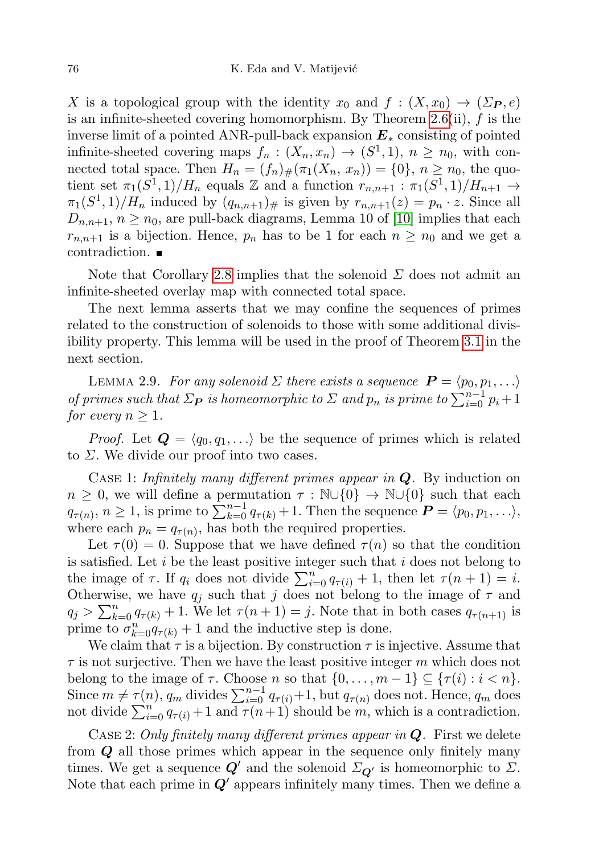X is a topological group with the identity  $x_0$  and  $f : (X, x_0) \to (\Sigma_{\mathbf{P}}, e)$ is an infinite-sheeted covering homomorphism. By Theorem [2.6\(](#page-5-0)ii),  $f$  is the inverse limit of a pointed ANR-pull-back expansion  $E_*$  consisting of pointed infinite-sheeted covering maps  $f_n : (X_n, x_n) \to (S^1, 1), n \ge n_0$ , with connected total space. Then  $H_n = (f_n)_\#(\pi_1(X_n, x_n)) = \{0\}, n \geq n_0$ , the quotient set  $\pi_1(S^1, 1)/H_n$  equals  $\mathbb Z$  and a function  $r_{n,n+1} : \pi_1(S^1, 1)/H_{n+1} \to$  $\pi_1(S^1, 1)/H_n$  induced by  $(q_{n,n+1})_{\#}$  is given by  $r_{n,n+1}(z) = p_n \cdot z$ . Since all  $D_{n,n+1}, n \geq n_0$ , are pull-back diagrams, Lemma 10 of [\[10\]](#page-13-6) implies that each  $r_{n,n+1}$  is a bijection. Hence,  $p_n$  has to be 1 for each  $n \geq n_0$  and we get a contradiction.

Note that Corollary [2.8](#page-6-1) implies that the solenoid  $\Sigma$  does not admit an infinite-sheeted overlay map with connected total space.

The next lemma asserts that we may confine the sequences of primes related to the construction of solenoids to those with some additional divisibility property. This lemma will be used in the proof of Theorem [3.1](#page-8-0) in the next section.

<span id="page-7-0"></span>LEMMA 2.9. For any solenoid  $\Sigma$  there exists a sequence  $\boldsymbol{P} = \langle p_0, p_1, \ldots \rangle$ of primes such that  $\Sigma_{\mathbf{P}}$  is homeomorphic to  $\Sigma$  and  $p_n$  is prime to  $\sum_{i=0}^{n-1} p_i + 1$ for every  $n \geq 1$ .

*Proof.* Let  $Q = \langle q_0, q_1, \ldots \rangle$  be the sequence of primes which is related to  $\Sigma$ . We divide our proof into two cases.

CASE 1: Infinitely many different primes appear in  $Q$ . By induction on  $n \geq 0$ , we will define a permutation  $\tau : \mathbb{N} \cup \{0\} \to \mathbb{N} \cup \{0\}$  such that each  $q_{\tau(n)}, n \geq 1$ , is prime to  $\sum_{k=0}^{n-1} q_{\tau(k)} + 1$ . Then the sequence  $\boldsymbol{P} = \langle p_0, p_1, \ldots \rangle$ , where each  $p_n = q_{\tau(n)}$ , has both the required properties.

Let  $\tau(0) = 0$ . Suppose that we have defined  $\tau(n)$  so that the condition is satisfied. Let  $i$  be the least positive integer such that  $i$  does not belong to the image of  $\tau$ . If  $q_i$  does not divide  $\sum_{i=0}^n q_{\tau(i)} + 1$ , then let  $\tau(n+1) = i$ . Otherwise, we have  $q_i$  such that j does not belong to the image of  $\tau$  and  $q_j > \sum_{k=0}^n q_{\tau(k)} + 1$ . We let  $\tau(n+1) = j$ . Note that in both cases  $q_{\tau(n+1)}$  is prime to  $\sigma_{k=0}^n q_{\tau(k)} + 1$  and the inductive step is done.

We claim that  $\tau$  is a bijection. By construction  $\tau$  is injective. Assume that  $\tau$  is not surjective. Then we have the least positive integer m which does not belong to the image of  $\tau$ . Choose n so that  $\{0, \ldots, m-1\} \subseteq {\tau(i) : i < n}$ . Since  $m \neq \tau(n)$ ,  $q_m$  divides  $\sum_{i=0}^{n-1} q_{\tau(i)} + 1$ , but  $q_{\tau(n)}$  does not. Hence,  $q_m$  does not divide  $\sum_{i=0}^{n} q_{\tau(i)} + 1$  and  $\tau(n+1)$  should be m, which is a contradiction.

CASE 2: Only finitely many different primes appear in  $Q$ . First we delete from  $Q$  all those primes which appear in the sequence only finitely many times. We get a sequence  $Q'$  and the solenoid  $\Sigma_{Q'}$  is homeomorphic to  $\Sigma$ . Note that each prime in  $Q'$  appears infinitely many times. Then we define a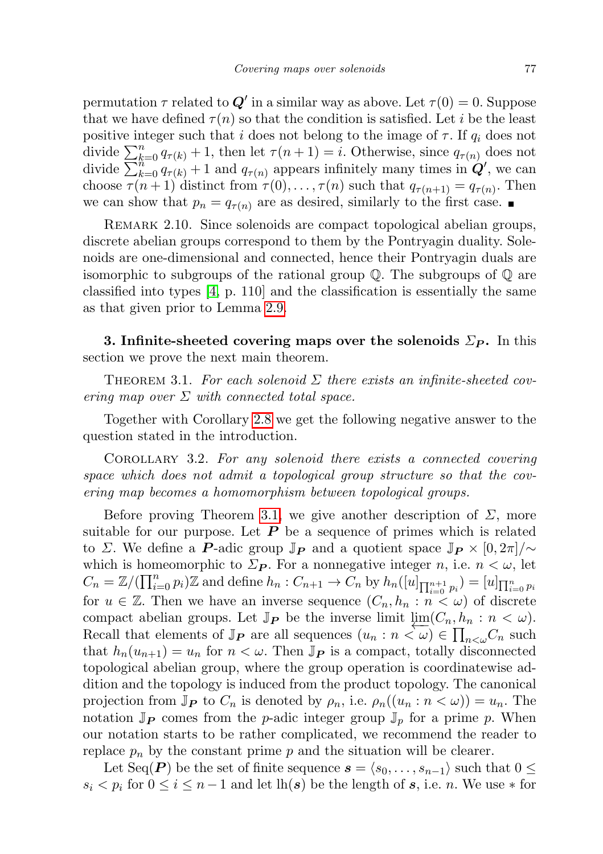permutation  $\tau$  related to  $\mathbf{Q}'$  in a similar way as above. Let  $\tau(0) = 0$ . Suppose that we have defined  $\tau(n)$  so that the condition is satisfied. Let i be the least positive integer such that i does not belong to the image of  $\tau$ . If  $q_i$  does not divide  $\sum_{k=0}^{n} q_{\tau(k)} + 1$ , then let  $\tau(n+1) = i$ . Otherwise, since  $q_{\tau(n)}$  does not divide  $\sum_{k=0}^{n} q_{\tau(k)} + 1$  and  $q_{\tau(n)}$  appears infinitely many times in  $Q'$ , we can choose  $\tau(n+1)$  distinct from  $\tau(0), \ldots, \tau(n)$  such that  $q_{\tau(n+1)} = q_{\tau(n)}$ . Then we can show that  $p_n = q_{\tau(n)}$  are as desired, similarly to the first case.

REMARK 2.10. Since solenoids are compact topological abelian groups, discrete abelian groups correspond to them by the Pontryagin duality. Solenoids are one-dimensional and connected, hence their Pontryagin duals are isomorphic to subgroups of the rational group  $\mathbb Q$ . The subgroups of  $\mathbb Q$  are classified into types [\[4,](#page-13-12) p. 110] and the classification is essentially the same as that given prior to Lemma [2.9.](#page-7-0)

3. Infinite-sheeted covering maps over the solenoids  $\Sigma_{P}$ . In this section we prove the next main theorem.

<span id="page-8-0"></span>THEOREM 3.1. For each solenoid  $\Sigma$  there exists an infinite-sheeted covering map over  $\Sigma$  with connected total space.

Together with Corollary [2.8](#page-6-1) we get the following negative answer to the question stated in the introduction.

<span id="page-8-1"></span>Corollary 3.2. For any solenoid there exists a connected covering space which does not admit a topological group structure so that the covering map becomes a homomorphism between topological groups.

Before proving Theorem [3.1,](#page-8-0) we give another description of  $\Sigma$ , more suitable for our purpose. Let  $P$  be a sequence of primes which is related to Σ. We define a P-adic group  $\mathbb{J}_P$  and a quotient space  $\mathbb{J}_P \times [0, 2\pi]/\sim$ which is homeomorphic to  $\Sigma_{\mathbf{P}}$ . For a nonnegative integer n, i.e.  $n < \omega$ , let  $C_n = \mathbb{Z}/(\prod_{i=0}^n p_i)\mathbb{Z}$  and define  $h_n: C_{n+1} \to C_n$  by  $h_n([u]_{\prod_{i=0}^{n+1} p_i}) = [u]_{\prod_{i=0}^n p_i}$ for  $u \in \mathbb{Z}$ . Then we have an inverse sequence  $(C_n, h_n : n < \omega)$  of discrete compact abelian groups. Let  $\mathbb{J}_{\mathbf{P}}$  be the inverse limit  $\varprojlim_{n}(C_n, h_n : n < \omega)$ . Recall that elements of  $\mathbb{J}_P$  are all sequences  $(u_n : n \leq \omega) \in \prod_{n<\omega} C_n$  such that  $h_n(u_{n+1}) = u_n$  for  $n < \omega$ . Then  $\mathbb{J}_P$  is a compact, totally disconnected topological abelian group, where the group operation is coordinatewise addition and the topology is induced from the product topology. The canonical projection from  $\mathbb{J}_{\mathbf{P}}$  to  $C_n$  is denoted by  $\rho_n$ , i.e.  $\rho_n((u_n : n < \omega)) = u_n$ . The notation  $\mathbb{J}_P$  comes from the *p*-adic integer group  $\mathbb{J}_p$  for a prime p. When our notation starts to be rather complicated, we recommend the reader to replace  $p_n$  by the constant prime p and the situation will be clearer.

Let Seq(P) be the set of finite sequence  $s = \langle s_0, \ldots, s_{n-1} \rangle$  such that  $0 \leq$  $s_i < p_i$  for  $0 \leq i \leq n-1$  and let  $\ln(s)$  be the length of s, i.e. n. We use  $*$  for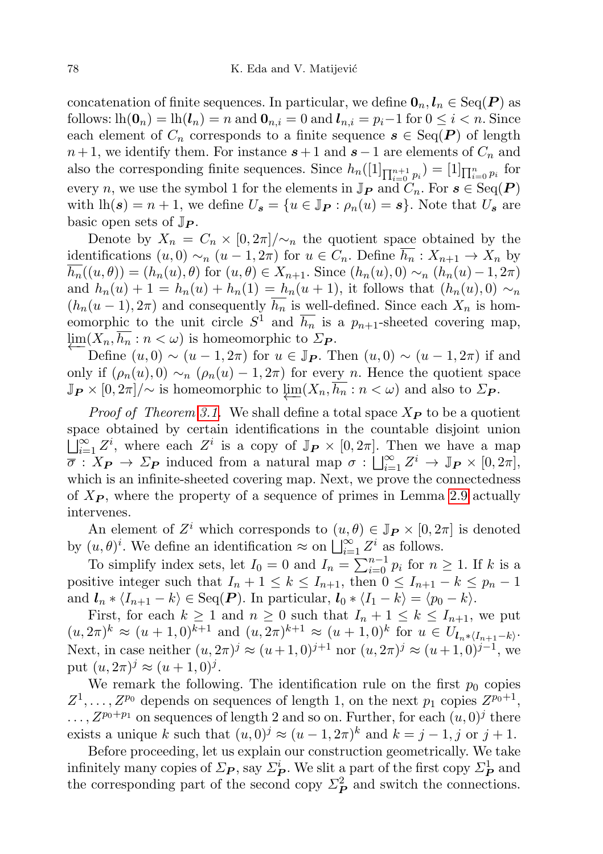concatenation of finite sequences. In particular, we define  $\mathbf{0}_n, l_n \in \text{Seq}(\mathbf{P})$  as follows:  $lh(\mathbf{0}_n) = lh(\mathbf{I}_n) = n$  and  $\mathbf{0}_{n,i} = 0$  and  $\mathbf{I}_{n,i} = p_i-1$  for  $0 \leq i < n$ . Since each element of  $C_n$  corresponds to a finite sequence  $s \in \text{Seq}(P)$  of length  $n+1$ , we identify them. For instance  $s+1$  and  $s-1$  are elements of  $C_n$  and also the corresponding finite sequences. Since  $h_n(1]_{\prod_{i=0}^{n+1} p_i} = [1]_{\prod_{i=0}^n p_i}$  for every n, we use the symbol 1 for the elements in  $\mathbb{J}_P$  and  $C_n$ . For  $s \in \text{Seq}(P)$ with  $lh(s) = n + 1$ , we define  $U_s = \{u \in \mathbb{J}_P : \rho_n(u) = s\}$ . Note that  $U_s$  are basic open sets of  $\mathbb{J}_{\mathbf{P}}$ .

Denote by  $X_n = C_n \times [0, 2\pi] / \sim_n$  the quotient space obtained by the identifications  $(u, 0) \sim_n (u - 1, 2\pi)$  for  $u \in C_n$ . Define  $\overline{h_n} : X_{n+1} \to X_n$  by  $\overline{h_n}((u, \theta)) = (h_n(u), \theta)$  for  $(u, \theta) \in X_{n+1}$ . Since  $(h_n(u), 0) \sim_n (h_n(u)-1, 2\pi)$ and  $h_n(u) + 1 = h_n(u) + h_n(1) = h_n(u+1)$ , it follows that  $(h_n(u), 0) \sim_n$  $(h_n(u-1), 2\pi)$  and consequently  $\overline{h_n}$  is well-defined. Since each  $X_n$  is homeomorphic to the unit circle  $S^1$  and  $\overline{h_n}$  is a  $p_{n+1}$ -sheeted covering map,  $\lim_{\epsilon \to 0} (X_n, h_n : n < \omega)$  is homeomorphic to  $\Sigma_{\mathbf{P}}$ .

Define  $(u, 0) \sim (u - 1, 2\pi)$  for  $u \in \mathbb{J}_P$ . Then  $(u, 0) \sim (u - 1, 2\pi)$  if and only if  $(\rho_n(u), 0) \sim_n (\rho_n(u) - 1, 2\pi)$  for every n. Hence the quotient space  $\mathbb{J}_{\mathbf{P}} \times [0, 2\pi] / \sim$  is homeomorphic to  $\varprojlim(X_n, \overline{h_n} : n < \omega)$  and also to  $\Sigma_{\mathbf{P}}$ .

*Proof of Theorem [3.1.](#page-8-0)* We shall define a total space  $X_{\mathbf{P}}$  to be a quotient space obtained by certain identifications in the countable disjoint union  $\iint_{i=1}^{\infty} Z^i$ , where each  $Z^i$  is a copy of  $\mathbb{J}_{\mathbf{P}} \times [0, 2\pi]$ . Then we have a map  $\overline{\sigma}: X_{\mathbf{P}} \to \Sigma_{\mathbf{P}}$  induced from a natural map  $\sigma: \bigsqcup_{i=1}^{\infty} Z^i \to \mathbb{J}_{\mathbf{P}} \times [0, 2\pi],$ which is an infinite-sheeted covering map. Next, we prove the connectedness of  $X_{\mathcal{P}}$ , where the property of a sequence of primes in Lemma [2.9](#page-7-0) actually intervenes.

An element of  $Z^i$  which corresponds to  $(u, \theta) \in \mathbb{J}_P \times [0, 2\pi]$  is denoted by  $(u, \theta)^i$ . We define an identification  $\approx$  on  $\bigsqcup_{i=1}^{\infty} Z^i$  as follows.

To simplify index sets, let  $I_0 = 0$  and  $I_n = \sum_{i=0}^{n-1} p_i$  for  $n \ge 1$ . If k is a positive integer such that  $I_n + 1 \leq k \leq I_{n+1}$ , then  $0 \leq I_{n+1} - k \leq p_n - 1$ and  $l_n * \langle I_{n+1} - k \rangle \in \text{Seq}(P)$ . In particular,  $l_0 * \langle I_1 - k \rangle = \langle p_0 - k \rangle$ .

First, for each  $k \ge 1$  and  $n \ge 0$  such that  $I_n + 1 \le k \le I_{n+1}$ , we put  $(u, 2\pi)^k \approx (u+1, 0)^{k+1}$  and  $(u, 2\pi)^{k+1} \approx (u+1, 0)^k$  for  $u \in U_{l_n * (I_{n+1}-k)}$ . Next, in case neither  $(u, 2\pi)^j \approx (u+1, 0)^{j+1}$  nor  $(u, 2\pi)^j \approx (u+1, 0)^{j-1}$ , we put  $(u, 2\pi)^j \approx (u+1, 0)^j$ .

We remark the following. The identification rule on the first  $p_0$  copies  $Z^1, \ldots, Z^{p_0}$  depends on sequences of length 1, on the next  $p_1$  copies  $Z^{p_0+1}$ ,  $\ldots, Z^{p_0+p_1}$  on sequences of length 2 and so on. Further, for each  $(u, 0)^j$  there exists a unique k such that  $(u, 0)^j \approx (u - 1, 2\pi)^k$  and  $k = j - 1, j$  or  $j + 1$ .

Before proceeding, let us explain our construction geometrically. We take infinitely many copies of  $\Sigma_P$ , say  $\Sigma_P^i$ . We slit a part of the first copy  $\Sigma_P^1$  and the corresponding part of the second copy  $\Sigma_P^2$  and switch the connections.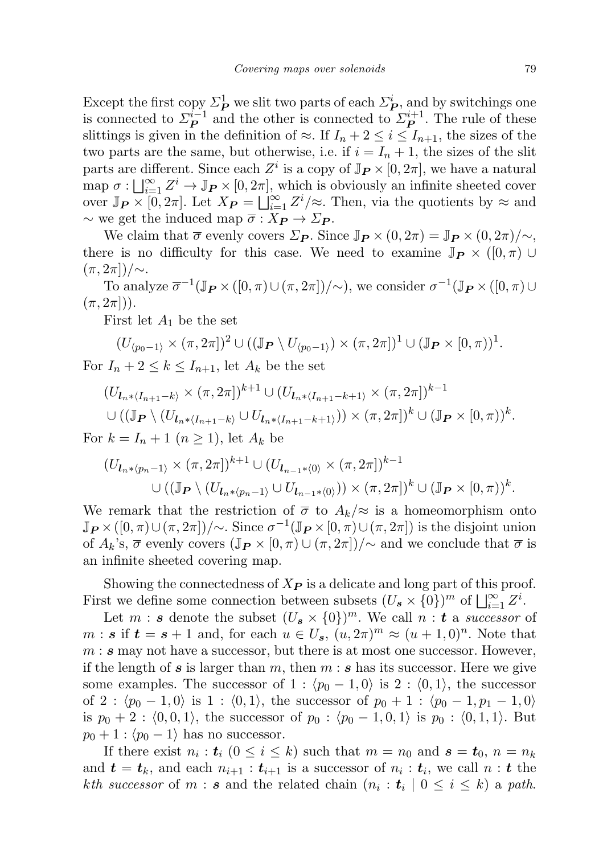Except the first copy  $\Sigma_P^1$  we slit two parts of each  $\Sigma_P^i$ , and by switchings one is connected to  $\mathcal{Z}_{\mathbf{P}}^{i-1}$  $\mathbf{P}_{\mathbf{P}}^{i-1}$  and the other is connected to  $\mathcal{L}_{\mathbf{P}}^{i+1}$  $\mathbf{P}^{n+1}$ . The rule of these slittings is given in the definition of  $\approx$ . If  $I_n + 2 \leq i \leq I_{n+1}$ , the sizes of the two parts are the same, but otherwise, i.e. if  $i = I_n + 1$ , the sizes of the slit parts are different. Since each  $Z^i$  is a copy of  $\mathbb{J}_{\mathbf{P}} \times [0, 2\pi]$ , we have a natural map  $\sigma: \bigcup_{i=1}^{\infty} Z^i \to \mathbb{J}_P \times [0, 2\pi]$ , which is obviously an infinite sheeted cover over  $\mathbb{J}_{\mathbf{P}} \times [0, 2\pi]$ . Let  $X_{\mathbf{P}} = \bigsqcup_{i=1}^{\infty} Z^i / \approx$ . Then, via the quotients by  $\approx$  and  $\sim$  we get the induced map  $\overline{\sigma}: X_{\mathbf{P}} \to \Sigma_{\mathbf{P}}$ .

We claim that  $\bar{\sigma}$  evenly covers  $\Sigma_{\bm{P}}$ . Since  $\mathbb{J}_{\bm{P}} \times (0, 2\pi) = \mathbb{J}_{\bm{P}} \times (0, 2\pi)/\sim$ , there is no difficulty for this case. We need to examine  $\mathbb{J}_P \times (0, \pi) \cup$  $(\pi, 2\pi$ ])/∼.

To analyze  $\overline{\sigma}^{-1}(\mathbb{J}_{\mathbf{P}} \times ([0, \pi) \cup (\pi, 2\pi])/\sim)$ , we consider  $\sigma^{-1}(\mathbb{J}_{\mathbf{P}} \times ([0, \pi) \cup$  $(\pi, 2\pi|)$ .

First let  $A_1$  be the set

$$
(U_{\langle p_0-1\rangle} \times (\pi, 2\pi))^2 \cup ((\mathbb{J}_{\mathbf{P}} \setminus U_{\langle p_0-1\rangle}) \times (\pi, 2\pi])^1 \cup (\mathbb{J}_{\mathbf{P}} \times [0, \pi))^1.
$$
  
*I*  $\downarrow$  2 < *h* < *I*  $\downarrow$  let *A* be the set

For  $I_n + 2 \leq k \leq I_{n+1}$ , let  $A_k$  be the set

$$
(U_{\mathbf{l}_{n}*(I_{n+1}-k)} \times (\pi, 2\pi])^{k+1} \cup (U_{\mathbf{l}_{n}*(I_{n+1}-k+1)} \times (\pi, 2\pi])^{k-1}
$$
  
 
$$
\cup ((\mathbb{J}_{\mathbf{P}} \setminus (U_{\mathbf{l}_{n}*(I_{n+1}-k)} \cup U_{\mathbf{l}_{n}*(I_{n+1}-k+1)})) \times (\pi, 2\pi])^{k} \cup (\mathbb{J}_{\mathbf{P}} \times [0, \pi))^{k}.
$$

For  $k = I_n + 1$   $(n \geq 1)$ , let  $A_k$  be

$$
\begin{aligned} (U_{\boldsymbol{l}_{n} * \langle p_{n-1} \rangle} \times (\pi, 2\pi])^{k+1} &\cup (U_{\boldsymbol{l}_{n-1} * \langle 0 \rangle} \times (\pi, 2\pi])^{k-1} \\ &\cup ((\mathbb{J}_{\boldsymbol{P}} \setminus (U_{\boldsymbol{l}_{n} * \langle p_{n-1} \rangle} \cup U_{\boldsymbol{l}_{n-1} * \langle 0 \rangle})) \times (\pi, 2\pi])^{k} \cup (\mathbb{J}_{\boldsymbol{P}} \times [0, \pi))^{k} .\end{aligned}
$$

We remark that the restriction of  $\bar{\sigma}$  to  $A_k/\approx$  is a homeomorphism onto  $\mathbb{J}_{\mathbf{P}} \times ([0,\pi) \cup (\pi,2\pi])/\sim$ . Since  $\sigma^{-1}(\mathbb{J}_{\mathbf{P}} \times [0,\pi) \cup (\pi,2\pi])$  is the disjoint union of  $A_k$ 's,  $\overline{\sigma}$  evenly covers  $(\mathbb{J}_P \times [0, \pi) \cup (\pi, 2\pi])/\sim$  and we conclude that  $\overline{\sigma}$  is an infinite sheeted covering map.

Showing the connectedness of  $X_{\mathbf{P}}$  is a delicate and long part of this proof. First we define some connection between subsets  $(U_s \times \{0\})^m$  of  $\bigsqcup_{i=1}^{\infty} Z^i$ .

Let  $m : s$  denote the subset  $(U_s \times \{0\})^m$ . We call  $n : t$  a successor of  $m: s \text{ if } t = s+1 \text{ and, for each } u \in U_s, (u, 2\pi)^m \approx (u+1, 0)^n.$  Note that  $m: s$  may not have a successor, but there is at most one successor. However, if the length of s is larger than m, then  $m : s$  has its successor. Here we give some examples. The successor of 1 :  $\langle p_0 - 1, 0 \rangle$  is 2 :  $\langle 0, 1 \rangle$ , the successor of 2 :  $\langle p_0 - 1, 0 \rangle$  is 1 :  $\langle 0, 1 \rangle$ , the successor of  $p_0 + 1$  :  $\langle p_0 - 1, p_1 - 1, 0 \rangle$ is  $p_0 + 2 : (0, 0, 1)$ , the successor of  $p_0 : (p_0 - 1, 0, 1)$  is  $p_0 : (0, 1, 1)$ . But  $p_0 + 1$  :  $\langle p_0 - 1 \rangle$  has no successor.

If there exist  $n_i : t_i$   $(0 \le i \le k)$  such that  $m = n_0$  and  $s = t_0$ ,  $n = n_k$ and  $t = t_k$ , and each  $n_{i+1} : t_{i+1}$  is a successor of  $n_i : t_i$ , we call  $n : t$  the kth successor of m : s and the related chain  $(n_i : t_i | 0 \le i \le k)$  a path.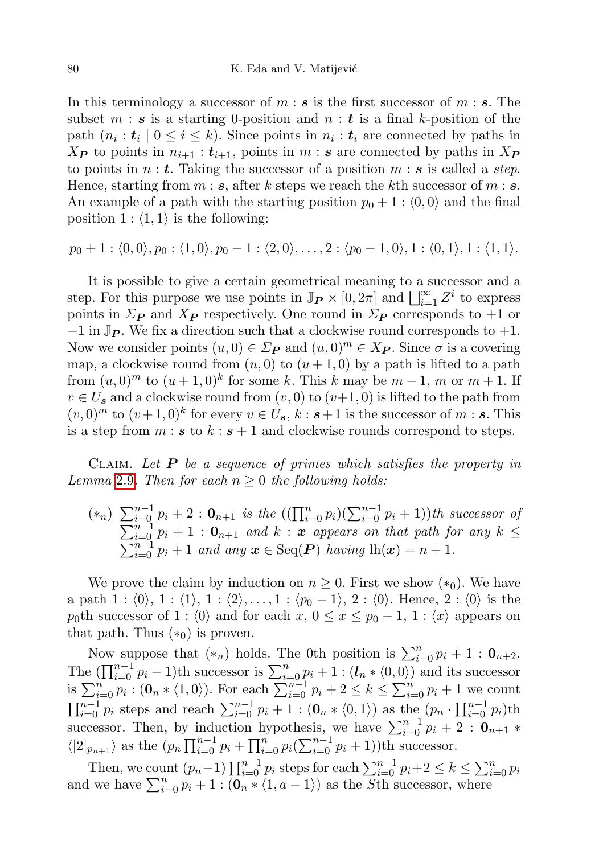In this terminology a successor of  $m : s$  is the first successor of  $m : s$ . The subset  $m : s$  is a starting 0-position and  $n : t$  is a final k-position of the path  $(n_i : t_i \mid 0 \leq i \leq k)$ . Since points in  $n_i : t_i$  are connected by paths in  $X_{\mathbf{P}}$  to points in  $n_{i+1} : t_{i+1}$ , points in  $m : s$  are connected by paths in  $X_{\mathbf{P}}$ to points in  $n : t$ . Taking the successor of a position  $m : s$  is called a *step*. Hence, starting from  $m : s$ , after k steps we reach the kth successor of  $m : s$ . An example of a path with the starting position  $p_0 + 1 : \langle 0, 0 \rangle$  and the final position  $1$ :  $\langle 1, 1 \rangle$  is the following:

$$
p_0+1:\langle 0,0\rangle, p_0:\langle 1,0\rangle, p_0-1:\langle 2,0\rangle, \ldots, 2:\langle p_0-1,0\rangle, 1:\langle 0,1\rangle, 1:\langle 1,1\rangle.
$$

It is possible to give a certain geometrical meaning to a successor and a step. For this purpose we use points in  $\mathbb{J}_{P} \times [0, 2\pi]$  and  $\bigsqcup_{i=1}^{\infty} Z^{i}$  to express points in  $\Sigma_{\mathbf{P}}$  and  $X_{\mathbf{P}}$  respectively. One round in  $\Sigma_{\mathbf{P}}$  corresponds to +1 or  $-1$  in  $\mathbb{J}_{\mathbf{P}}$ . We fix a direction such that a clockwise round corresponds to  $+1$ . Now we consider points  $(u, 0) \in \Sigma_{\mathbf{P}}$  and  $(u, 0)^m \in X_{\mathbf{P}}$ . Since  $\overline{\sigma}$  is a covering map, a clockwise round from  $(u, 0)$  to  $(u + 1, 0)$  by a path is lifted to a path from  $(u, 0)^m$  to  $(u + 1, 0)^k$  for some k. This k may be  $m - 1$ , m or  $m + 1$ . If  $v \in U_s$  and a clockwise round from  $(v, 0)$  to  $(v+1, 0)$  is lifted to the path from  $(v,0)^m$  to  $(v+1,0)^k$  for every  $v \in U_s$ ,  $k : s+1$  is the successor of  $m : s$ . This is a step from  $m : s$  to  $k : s + 1$  and clockwise rounds correspond to steps.

CLAIM. Let  $P$  be a sequence of primes which satisfies the property in Lemma [2.9](#page-7-0). Then for each  $n \geq 0$  the following holds:

$$
(*_n)\sum_{i=0}^{n-1}p_i+2:\mathbf{0}_{n+1} \text{ is the } ((\prod_{i=0}^n p_i)(\sum_{i=0}^{n-1}p_i+1))th successor\ of\ \sum_{i=0}^{n-1}p_i+1:\mathbf{0}_{n+1} \text{ and } k:\mathbf{x} \text{ appears on that path for any } k \leq \sum_{i=0}^{n-1}p_i+1 \text{ and any } \mathbf{x} \in \text{Seq}(\mathbf{P}) \text{ having } \ln(\mathbf{x})=n+1.
$$

We prove the claim by induction on  $n \geq 0$ . First we show  $(*_0)$ . We have a path 1 :  $\langle 0 \rangle$ , 1 :  $\langle 1 \rangle$ , 1 :  $\langle 2 \rangle$ , ..., 1 :  $\langle p_0 - 1 \rangle$ , 2 :  $\langle 0 \rangle$ . Hence, 2 :  $\langle 0 \rangle$  is the p<sub>0</sub>th successor of 1 :  $\langle 0 \rangle$  and for each  $x, 0 \le x \le p_0 - 1, 1 : \langle x \rangle$  appears on that path. Thus  $(*_0)$  is proven.

Now suppose that  $(*_n)$  holds. The 0th position is  $\sum_{i=0}^n p_i + 1 : \mathbf{0}_{n+2}$ . The  $(\prod_{i=0}^{n-1} p_i - 1)$ th successor is  $\sum_{i=0}^{n} p_i + 1 : (\mathbf{I}_n * \langle 0, 0 \rangle)$  and its successor is  $\sum_{i=0}^{n} p_i : (0_n * \langle 1, 0 \rangle)$ . For each  $\sum_{i=0}^{n-1} p_i + 2 \leq k \leq \sum_{i=0}^{n} p_i + 1$  we count  $\prod_{i=0}^{n-1} p_i$  steps and reach  $\sum_{i=0}^{n-1} p_i + 1 : (\mathbf{0}_n * \langle 0, 1 \rangle)$  as the  $(p_n \cdot \prod_{i=0}^{n-1} p_i)$ th successor. Then, by induction hypothesis, we have  $\sum_{i=0}^{n-1} p_i + 2$ :  $\mathbf{0}_{n+1}$  \*  $\langle [2]_{p_{n+1}} \rangle$  as the  $(p_n \prod_{i=0}^{n-1} p_i + \prod_{i=0}^n p_i (\sum_{i=0}^{n-1} p_i + 1))$ th successor.

Then, we count  $(p_n-1)\prod_{i=0}^{n-1} p_i$  steps for each  $\sum_{i=0}^{n-1} p_i + 2 \leq k \leq \sum_{i=0}^{n} p_i$ and we have  $\sum_{i=0}^{n} p_i + 1 : (0_n * \langle 1, a-1 \rangle)$  as the Sth successor, where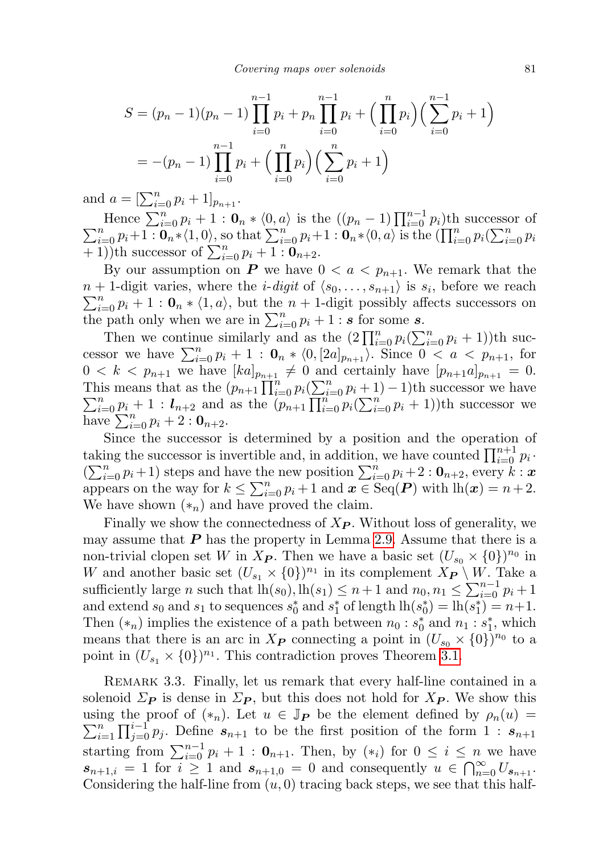$$
S = (p_n - 1)(p_n - 1) \prod_{i=0}^{n-1} p_i + p_n \prod_{i=0}^{n-1} p_i + \left(\prod_{i=0}^n p_i\right) \left(\sum_{i=0}^{n-1} p_i + 1\right)
$$
  
= -(p\_n - 1) \prod\_{i=0}^{n-1} p\_i + \left(\prod\_{i=0}^n p\_i\right) \left(\sum\_{i=0}^n p\_i + 1\right)

and  $a = [\sum_{i=0}^{n} p_i + 1]_{p_{n+1}}$ .

Hence  $\sum_{i=0}^{n} p_i + 1 : \mathbf{0}_n * \langle 0, a \rangle$  is the  $((p_n - 1) \prod_{i=0}^{n-1} p_i)$ th successor of  $\sum_{i=0}^{n} p_i + 1 : \mathbf{0}_n * \langle 1, 0 \rangle$ , so that  $\sum_{i=0}^{n} p_i + 1 : \mathbf{0}_n * \langle 0, a \rangle$  is the  $(\prod_{i=0}^{n} p_i (\sum_{i=0}^{n} p_i))$  $\frac{1}{(n+1)}$ th successor of  $\sum_{i=0}^{n} p_i + 1$ :  $\mathbf{0}_{n+2}$ .

By our assumption on P we have  $0 < a < p_{n+1}$ . We remark that the  $n+1$ -digit varies, where the *i-digit* of  $\langle s_0, \ldots, s_{n+1} \rangle$  is  $s_i$ , before we reach  $\sum_{i=0}^{n} p_i + 1 : \mathbf{0}_n * \langle 1, a \rangle$ , but the  $n + 1$ -digit possibly affects successors on the path only when we are in  $\sum_{i=0}^{n} p_i + 1$ : s for some s.

Then we continue similarly and as the  $(2 \prod_{i=0}^{n} p_i (\sum_{i=0}^{n} p_i + 1))$ th successor we have  $\sum_{i=0}^{n} p_i + 1$  :  $\mathbf{0}_n * \langle 0, [2a]_{p_{n+1}} \rangle$ . Since  $0 < a < p_{n+1}$ , for  $0 < k < p_{n+1}$  we have  $[ka]_{p_{n+1}} \neq 0$  and certainly have  $[p_{n+1}a]_{p_{n+1}} = 0$ . This means that as the  $\left(p_{n+1}\prod_{i=0}^n p_i\left(\sum_{i=0}^n p_i\right)\right)$ <br> $\sum_{i=0}^n p_i + 1$ :  $l_{n+2}$  and as the  $\left(p_{n+1}\prod_{i=0}^n p_i\right)$ is means that as the  $(p_{n+1}\prod_{i=0}^n p_i(\sum_{i=0}^n p_i+1)-1)$ th successor we have  $\sum_{i=0}^n p_i + 1$ :  $l_{n+2}$  and as the  $(p_{n+1}\prod_{i=0}^n p_i(\sum_{i=0}^n p_i+1))$ th successor we have  $\sum_{i=0}^{n} p_i + 2 : \mathbf{0}_{n+2}.$ 

Since the successor is determined by a position and the operation of taking the successor is invertible and, in addition, we have counted  $\prod_{i=0}^{n+1} p_i$ .  $\left(\sum_{i=0}^{n} p_i+1\right)$  steps and have the new position  $\sum_{i=0}^{n} p_i+2: \mathbf{0}_{n+2}$ , every  $k: \mathbf{x}$ appears on the way for  $k \leq \sum_{i=0}^{n} p_i + 1$  and  $\mathbf{x} \in \text{Seq}(\mathbf{P})$  with  $\ln(\mathbf{x}) = n+2$ . We have shown  $(*_n)$  and have proved the claim.

Finally we show the connectedness of  $X_{\mathbf{P}}$ . Without loss of generality, we may assume that  $P$  has the property in Lemma [2.9.](#page-7-0) Assume that there is a non-trivial clopen set W in  $X_{\mathbf{P}}$ . Then we have a basic set  $(U_{s_0} \times \{0\})^{n_0}$  in W and another basic set  $(U_{s_1} \times \{0\})^{n_1}$  in its complement  $X_{\mathbf{P}} \setminus W$ . Take a sufficiently large *n* such that  $\text{lh}(s_0)$ ,  $\text{lh}(s_1) \leq n+1$  and  $n_0, n_1 \leq \sum_{i=0}^{n-1} p_i + 1$ and extend  $s_0$  and  $s_1$  to sequences  $s_0^*$  and  $s_1^*$  of length  $\ln(s_0^*) = \ln(s_1^*) = n+1$ . Then  $(*_n)$  implies the existence of a path between  $n_0 : s_0^*$  and  $n_1 : s_1^*$ , which means that there is an arc in  $X_{\mathbf{P}}$  connecting a point in  $(U_{s_0} \times \{0\})^{n_0}$  to a point in  $(U_{s_1} \times \{0\})^{n_1}$ . This contradiction proves Theorem [3.1.](#page-8-0)

Remark 3.3. Finally, let us remark that every half-line contained in a solenoid  $\Sigma_{\mathbf{P}}$  is dense in  $\Sigma_{\mathbf{P}}$ , but this does not hold for  $X_{\mathbf{P}}$ . We show this using the proof of  $(*_n)$ . Let  $u \in \mathbb{J}_P$  be the element defined by  $\rho_n(u) =$  $\sum_{i=1}^{n}$  $\prod_{i=1}^n \prod_{j=0}^{i-1} p_j$ . Define  $s_{n+1}$  to be the first position of the form  $1 : s_{n+1}$ starting from  $\sum_{i=0}^{n-1} p_i + 1$ :  $\mathbf{0}_{n+1}$ . Then, by  $(\ast_i)$  for  $0 \le i \le n$  we have  $s_{n+1,i} = 1$  for  $i \geq 1$  and  $s_{n+1,0} = 0$  and consequently  $u \in \bigcap_{n=0}^{\infty} U_{s_{n+1}}$ . Considering the half-line from  $(u, 0)$  tracing back steps, we see that this half-